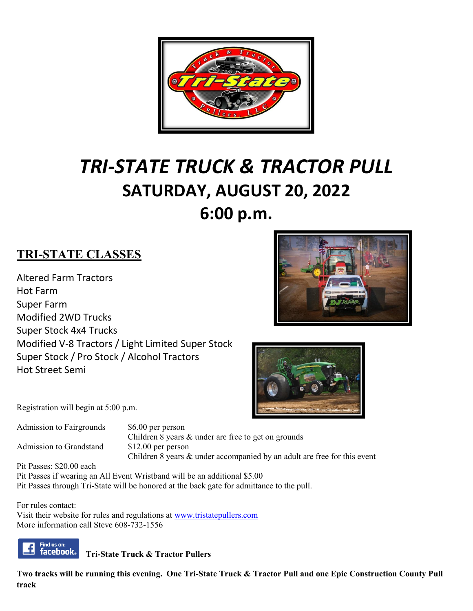

# *TRI-STATE TRUCK & TRACTOR PULL* **SATURDAY, AUGUST 20, 2022 6:00 p.m.**

## **TRI-STATE CLASSES**

Altered Farm Tractors Hot Farm Super Farm Modified 2WD Trucks Super Stock 4x4 Trucks Modified V-8 Tractors / Light Limited Super Stock Super Stock / Pro Stock / Alcohol Tractors Hot Street Semi





Registration will begin at 5:00 p.m.

Admission to Fairgrounds \$6.00 per person Children 8 years & under are free to get on grounds Admission to Grandstand \$12.00 per person Children 8 years & under accompanied by an adult are free for this event

Pit Passes: \$20.00 each Pit Passes if wearing an All Event Wristband will be an additional \$5.00 Pit Passes through Tri-State will be honored at the back gate for admittance to the pull.

For rules contact: Visit their website for rules and regulations at [www.tristatepullers.com](http://www.tristatepullers.com/) More information call Steve 608-732-1556



**Tri-State Truck & Tractor Pullers**

**Two tracks will be running this evening. One Tri-State Truck & Tractor Pull and one Epic Construction County Pull track**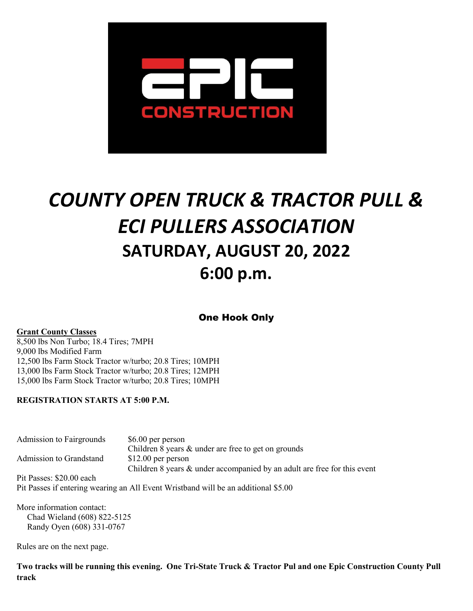

# *COUNTY OPEN TRUCK & TRACTOR PULL & ECI PULLERS ASSOCIATION* **SATURDAY, AUGUST 20, 2022 6:00 p.m.**

One Hook Only

#### **Grant County Classes**

8,500 lbs Non Turbo; 18.4 Tires; 7MPH 9,000 lbs Modified Farm 12,500 lbs Farm Stock Tractor w/turbo; 20.8 Tires; 10MPH 13,000 lbs Farm Stock Tractor w/turbo; 20.8 Tires; 12MPH 15,000 lbs Farm Stock Tractor w/turbo; 20.8 Tires; 10MPH

#### **REGISTRATION STARTS AT 5:00 P.M.**

Admission to Fairgrounds \$6.00 per person Children 8 years & under are free to get on grounds Admission to Grandstand \$12.00 per person Children 8 years & under accompanied by an adult are free for this event Pit Passes: \$20.00 each

Pit Passes if entering wearing an All Event Wristband will be an additional \$5.00

More information contact: Chad Wieland (608) 822-5125 Randy Oyen (608) 331-0767

Rules are on the next page.

**Two tracks will be running this evening. One Tri-State Truck & Tractor Pul and one Epic Construction County Pull track**